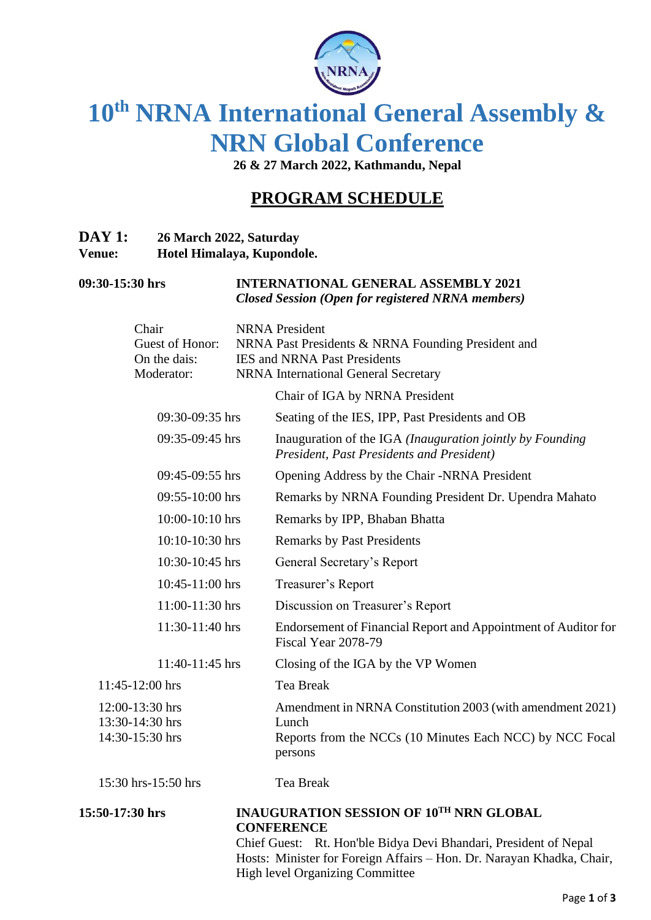

# **10th NRNA International General Assembly & NRN Global Conference**

**26 & 27 March 2022, Kathmandu, Nepal**

# **PROGRAM SCHEDULE**

| <b>DAY 1:</b> | 26 March 2022, Saturday    |
|---------------|----------------------------|
| <b>Venue:</b> | Hotel Himalaya, Kupondole. |

| 09:30-15:30 hrs | <b>INTERNATIONAL GENERAL ASSEMBLY 2021</b>               |
|-----------------|----------------------------------------------------------|
|                 | <b>Closed Session (Open for registered NRNA members)</b> |

| 15:50-17:30 hrs                                       | <b>INAUGURATION SESSION OF 10TH NRN GLOBAL</b><br><b>CONFERENCE</b>                                                                       |
|-------------------------------------------------------|-------------------------------------------------------------------------------------------------------------------------------------------|
| 15:30 hrs-15:50 hrs                                   | Tea Break                                                                                                                                 |
| 12:00-13:30 hrs<br>13:30-14:30 hrs<br>14:30-15:30 hrs | Amendment in NRNA Constitution 2003 (with amendment 2021)<br>Lunch<br>Reports from the NCCs (10 Minutes Each NCC) by NCC Focal<br>persons |
| 11:45-12:00 hrs                                       | <b>Tea Break</b>                                                                                                                          |
| 11:40-11:45 hrs                                       | Closing of the IGA by the VP Women                                                                                                        |
| 11:30-11:40 hrs                                       | Endorsement of Financial Report and Appointment of Auditor for<br>Fiscal Year 2078-79                                                     |
| 11:00-11:30 hrs                                       | Discussion on Treasurer's Report                                                                                                          |
| 10:45-11:00 hrs                                       | Treasurer's Report                                                                                                                        |
| 10:30-10:45 hrs                                       | General Secretary's Report                                                                                                                |
| 10:10-10:30 hrs                                       | <b>Remarks by Past Presidents</b>                                                                                                         |
| 10:00-10:10 hrs                                       | Remarks by IPP, Bhaban Bhatta                                                                                                             |
| 09:55-10:00 hrs                                       | Remarks by NRNA Founding President Dr. Upendra Mahato                                                                                     |
| 09:45-09:55 hrs                                       | Opening Address by the Chair -NRNA President                                                                                              |
| 09:35-09:45 hrs                                       | Inauguration of the IGA (Inauguration jointly by Founding<br>President, Past Presidents and President)                                    |
| 09:30-09:35 hrs                                       | Seating of the IES, IPP, Past Presidents and OB                                                                                           |
|                                                       | Chair of IGA by NRNA President                                                                                                            |
| On the dais:<br>Moderator:                            | <b>IES and NRNA Past Presidents</b><br><b>NRNA</b> International General Secretary                                                        |
| Chair<br>Guest of Honor:                              | <b>NRNA</b> President<br>NRNA Past Presidents & NRNA Founding President and                                                               |

Chief Guest: Rt. Hon'ble Bidya Devi Bhandari, President of Nepal Hosts: Minister for Foreign Affairs – Hon. Dr. Narayan Khadka, Chair, High level Organizing Committee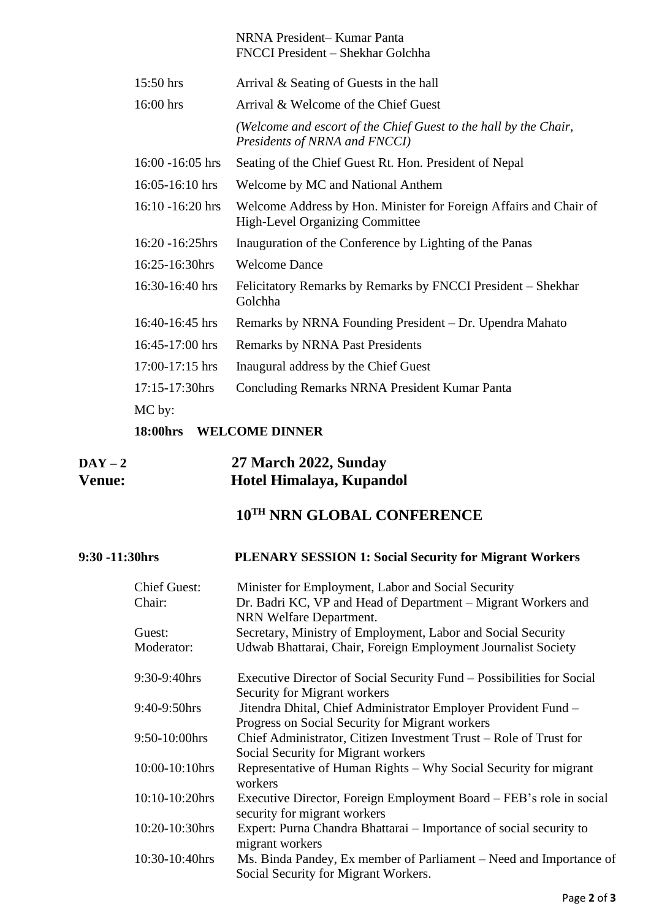| NRNA President-Kumar Panta                                                                                  |
|-------------------------------------------------------------------------------------------------------------|
| FNCCI President - Shekhar Golchha                                                                           |
| Arrival & Seating of Guests in the hall                                                                     |
| Arrival & Welcome of the Chief Guest                                                                        |
| (Welcome and escort of the Chief Guest to the hall by the Chair,<br>Presidents of NRNA and FNCCI)           |
| Seating of the Chief Guest Rt. Hon. President of Nepal                                                      |
| Welcome by MC and National Anthem                                                                           |
| Welcome Address by Hon. Minister for Foreign Affairs and Chair of<br><b>High-Level Organizing Committee</b> |
| Inauguration of the Conference by Lighting of the Panas                                                     |
| <b>Welcome Dance</b>                                                                                        |
| Felicitatory Remarks by Remarks by FNCCI President – Shekhar<br>Golchha                                     |
| Remarks by NRNA Founding President – Dr. Upendra Mahato                                                     |
| <b>Remarks by NRNA Past Presidents</b>                                                                      |
| Inaugural address by the Chief Guest                                                                        |
| <b>Concluding Remarks NRNA President Kumar Panta</b>                                                        |
|                                                                                                             |
|                                                                                                             |

## **18:00hrs WELCOME DINNER**

# **DAY – 2 27 March 2022, Sunday Venue: Hotel Himalaya, Kupandol**

# **10TH NRN GLOBAL CONFERENCE**

# **9:30 -11:30hrs PLENARY SESSION 1: Social Security for Migrant Workers**

| <b>Chief Guest:</b> | Minister for Employment, Labor and Social Security                                                                |
|---------------------|-------------------------------------------------------------------------------------------------------------------|
| Chair:              | Dr. Badri KC, VP and Head of Department – Migrant Workers and<br>NRN Welfare Department.                          |
| Guest:              | Secretary, Ministry of Employment, Labor and Social Security                                                      |
| Moderator:          | Udwab Bhattarai, Chair, Foreign Employment Journalist Society                                                     |
| 9:30-9:40hrs        | Executive Director of Social Security Fund – Possibilities for Social<br><b>Security for Migrant workers</b>      |
| 9:40-9:50hrs        | Jitendra Dhital, Chief Administrator Employer Provident Fund -<br>Progress on Social Security for Migrant workers |
| 9:50-10:00hrs       | Chief Administrator, Citizen Investment Trust - Role of Trust for<br>Social Security for Migrant workers          |
| $10:00-10:10$ hrs   | Representative of Human Rights – Why Social Security for migrant<br>workers                                       |
| $10:10-10:20$ hrs   | Executive Director, Foreign Employment Board - FEB's role in social<br>security for migrant workers               |
| 10:20-10:30hrs      | Expert: Purna Chandra Bhattarai – Importance of social security to<br>migrant workers                             |
| 10:30-10:40hrs      | Ms. Binda Pandey, Ex member of Parliament – Need and Importance of<br>Social Security for Migrant Workers.        |
|                     |                                                                                                                   |